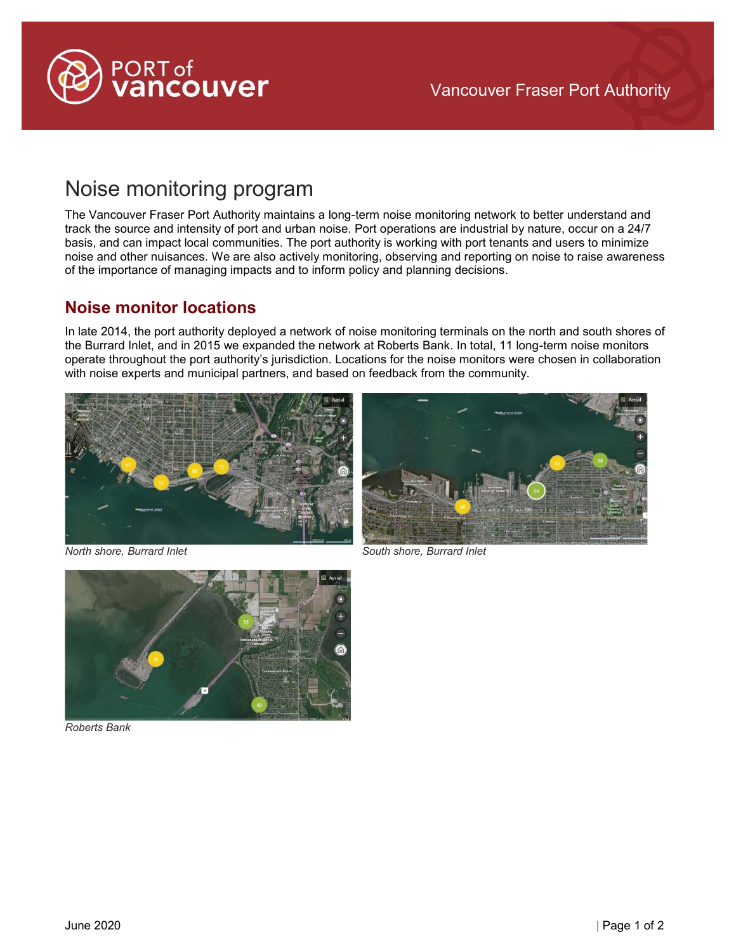

# Noise monitoring program

The Vancouver Fraser Port Authority maintains a long-term noise monitoring network to better understand and track the source and intensity of port and urban noise. Port operations are industrial by nature, occur on a 24/7 basis, and can impact local communities. The port authority is working with port tenants and users to minimize noise and other nuisances. We are also actively monitoring, observing and reporting on noise to raise awareness of the importance of managing impacts and to inform policy and planning decisions.

#### **Noise monitor locations**

In late 2014, the port authority deployed a network of noise monitoring terminals on the north and south shores of the Burrard Inlet, and in 2015 we expanded the network at Roberts Bank. In total, 11 long-term noise monitors operate throughout the port authority's jurisdiction. Locations for the noise monitors were chosen in collaboration with noise experts and municipal partners, and based on feedback from the community.







*Roberts Bank* 

*North shore, Burrard Inlet South shore, Burrard Inlet*